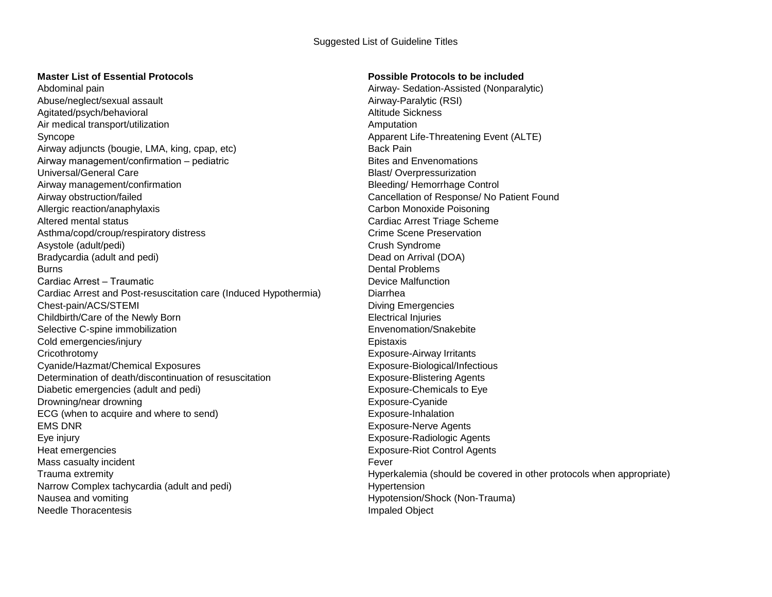## Suggested List of Guideline Titles

## **Master List of Essential Protocols Possible Protocols to be included**

Abdominal pain Airway- Sedation-Assisted (Nonparalytic) Abuse/neglect/sexual assault and an extraordinary example and alternative Airway-Paralytic (RSI) Agitated/psych/behavioral Altitude Sickness and Altitude Sickness Air medical transport/utilization and a set of the Amputation Amputation Amputation Syncope Apparent Life-Threatening Event (ALTE) Airway adjuncts (bougie, LMA, king, cpap, etc) Back Pain Airway management/confirmation – pediatric and Bites and Envenomations Bites and Envenomations Universal/General Care **Blast/ Overpressurization** Airway management/confirmation and Bleeding/ Hemorrhage Control Airway obstruction/failed Cancellation of Response/ No Patient Found Allergic reaction/anaphylaxis Carbon Monoxide Poisoning Altered mental status Cardiac Arrest Triage Scheme Asthma/copd/croup/respiratory distress Crime Scene Preservation Crime Scene Preservation Asystole (adult/pedi) and the control of the control of the Crush Syndrome Crush Syndrome Bradycardia (adult and pedi) Dead on Arrival (DOA) Burns **Dental Problems** Cardiac Arrest – Traumatic **Cardiac Arrest – Traumatic** Device Malfunction Cardiac Arrest and Post-resuscitation care (Induced Hypothermia) Diarrhea Chest-pain/ACS/STEMI Diving Emergencies Childbirth/Care of the Newly Born **Electrical Injuries** Electrical Injuries Selective C-spine immobilization entitled and the environment of the Envenomation/Snakebite Cold emergencies/injury Epistaxis Cricothrotomy Exposure-Airway Irritants Cyanide/Hazmat/Chemical Exposures Exposure-Biological/Infectious Determination of death/discontinuation of resuscitation Exposure-Blistering Agents Diabetic emergencies (adult and pedi) Exposure-Chemicals to Eye Drowning/near drowning exposure-Cyanide Exposure-Cyanide ECG (when to acquire and where to send) EXPOS Exposure-Inhalation EMS DNR Exposure-Nerve Agents Eye injury Exposure-Radiologic Agents Heat emergencies Exposure-Riot Control Agents Mass casualty incident **Fever** Fever Narrow Complex tachycardia (adult and pedi) example and the Hypertension Hypertension Nausea and vomiting **National Struck Community** Hypotension/Shock (Non-Trauma) Needle Thoracentesis **Impaled Object Impaled Object** 

Trauma extremity Hyperkalemia (should be covered in other protocols when appropriate)